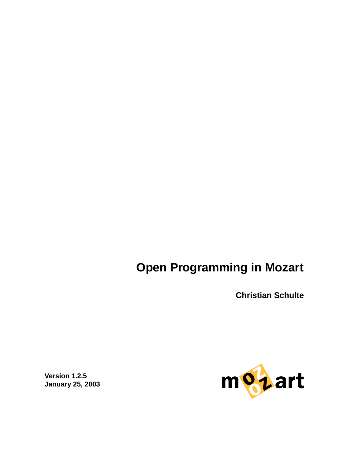# <span id="page-0-0"></span>**Open Programming in Mozart**

**Christian Schulte**



**Version 1.2.5 January 25, 2003**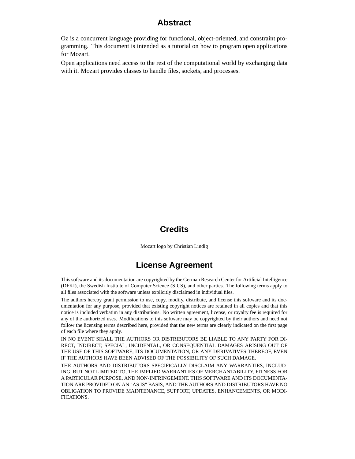### **Abstract**

<span id="page-1-0"></span>Oz is a concurrent language providing for functional, object-oriented, and constraint programming. This document is intended as a tutorial on how to program open applications for Mozart.

Open applications need access to the rest of the computational world by exchanging data with it. Mozart provides classes to handle files, sockets, and processes.

## **Credits**

Mozart logo by Christian Lindig

# **License Agreement**

This software and its documentation are copyrighted by the German Research Center for Artificial Intelligence (DFKI), the Swedish Institute of Computer Science (SICS), and other parties. The following terms apply to all files associated with the software unless explicitly disclaimed in individual files.

The authors hereby grant permission to use, copy, modify, distribute, and license this software and its documentation for any purpose, provided that existing copyright notices are retained in all copies and that this notice is included verbatim in any distributions. No written agreement, license, or royalty fee is required for any of the authorized uses. Modifications to this software may be copyrighted by their authors and need not follow the licensing terms described here, provided that the new terms are clearly indicated on the first page of each file where they apply.

IN NO EVENT SHALL THE AUTHORS OR DISTRIBUTORS BE LIABLE TO ANY PARTY FOR DI-RECT, INDIRECT, SPECIAL, INCIDENTAL, OR CONSEQUENTIAL DAMAGES ARISING OUT OF THE USE OF THIS SOFTWARE, ITS DOCUMENTATION, OR ANY DERIVATIVES THEREOF, EVEN IF THE AUTHORS HAVE BEEN ADVISED OF THE POSSIBILITY OF SUCH DAMAGE.

THE AUTHORS AND DISTRIBUTORS SPECIFICALLY DISCLAIM ANY WARRANTIES, INCLUD-ING, BUT NOT LIMITED TO, THE IMPLIED WARRANTIES OF MERCHANTABILITY, FITNESS FOR A PARTICULAR PURPOSE, AND NON-INFRINGEMENT. THIS SOFTWARE AND ITS DOCUMENTA-TION ARE PROVIDED ON AN "AS IS" BASIS, AND THE AUTHORS AND DISTRIBUTORS HAVE NO OBLIGATION TO PROVIDE MAINTENANCE, SUPPORT, UPDATES, ENHANCEMENTS, OR MODI-FICATIONS.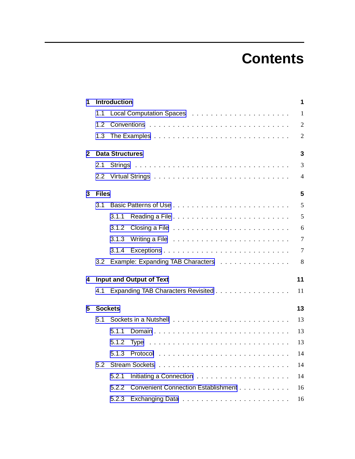# **Contents**

<span id="page-2-0"></span>

| 1                                      | <b>Introduction</b>             |                        |                                                                                                                                                                                                                                    |                |  |  |  |  |  |  |  |
|----------------------------------------|---------------------------------|------------------------|------------------------------------------------------------------------------------------------------------------------------------------------------------------------------------------------------------------------------------|----------------|--|--|--|--|--|--|--|
|                                        | 1.1                             |                        |                                                                                                                                                                                                                                    |                |  |  |  |  |  |  |  |
|                                        | 1.2                             |                        |                                                                                                                                                                                                                                    | $\overline{2}$ |  |  |  |  |  |  |  |
|                                        | 1.3                             |                        |                                                                                                                                                                                                                                    |                |  |  |  |  |  |  |  |
| $\mathbf{2}$                           |                                 | <b>Data Structures</b> |                                                                                                                                                                                                                                    |                |  |  |  |  |  |  |  |
|                                        | 2.1                             |                        |                                                                                                                                                                                                                                    | 3              |  |  |  |  |  |  |  |
|                                        |                                 |                        | $\overline{4}$                                                                                                                                                                                                                     |                |  |  |  |  |  |  |  |
| 3                                      | <b>Files</b>                    |                        |                                                                                                                                                                                                                                    |                |  |  |  |  |  |  |  |
|                                        | 3.1                             |                        |                                                                                                                                                                                                                                    | 5              |  |  |  |  |  |  |  |
|                                        |                                 | 3.1.1                  |                                                                                                                                                                                                                                    | 5              |  |  |  |  |  |  |  |
|                                        |                                 | 3.1.2                  |                                                                                                                                                                                                                                    | 6              |  |  |  |  |  |  |  |
|                                        |                                 | 3.1.3                  | Writing a File <i>witch that is a contract witch</i> with the set of the set of the set of the set of the set of the set of the set of the set of the set of the set of the set of the set of the set of the set of the set of the | $\tau$         |  |  |  |  |  |  |  |
|                                        |                                 | 3.1.4                  |                                                                                                                                                                                                                                    | $\overline{7}$ |  |  |  |  |  |  |  |
|                                        | 3.2                             |                        | Example: Expanding TAB Characters                                                                                                                                                                                                  | 8              |  |  |  |  |  |  |  |
| 4                                      | <b>Input and Output of Text</b> |                        |                                                                                                                                                                                                                                    |                |  |  |  |  |  |  |  |
| 4.1 Expanding TAB Characters Revisited |                                 |                        |                                                                                                                                                                                                                                    |                |  |  |  |  |  |  |  |
| 5                                      |                                 | <b>Sockets</b>         |                                                                                                                                                                                                                                    | 13             |  |  |  |  |  |  |  |
|                                        | 5.1                             |                        |                                                                                                                                                                                                                                    |                |  |  |  |  |  |  |  |
|                                        |                                 | 5.1.1                  |                                                                                                                                                                                                                                    | 13             |  |  |  |  |  |  |  |
|                                        |                                 | 5.1.2                  |                                                                                                                                                                                                                                    | 13             |  |  |  |  |  |  |  |
|                                        |                                 | 5.1.3                  |                                                                                                                                                                                                                                    | 14             |  |  |  |  |  |  |  |
|                                        | 5.2                             |                        | 14                                                                                                                                                                                                                                 |                |  |  |  |  |  |  |  |
|                                        |                                 | 5.2.1                  |                                                                                                                                                                                                                                    | 14             |  |  |  |  |  |  |  |
|                                        |                                 | 5.2.2                  | Convenient Connection Establishment                                                                                                                                                                                                | 16             |  |  |  |  |  |  |  |
|                                        |                                 | 5.2.3                  |                                                                                                                                                                                                                                    | 16             |  |  |  |  |  |  |  |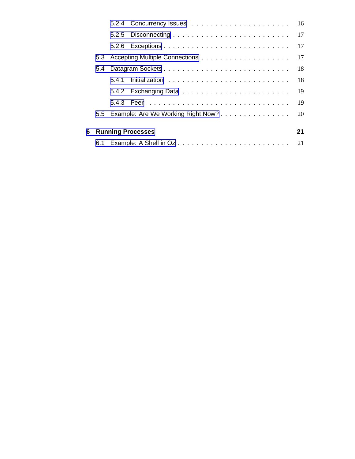<span id="page-3-0"></span>

|  |                     |                                        | 17 |  |  |  |  |  |
|--|---------------------|----------------------------------------|----|--|--|--|--|--|
|  |                     |                                        |    |  |  |  |  |  |
|  |                     |                                        |    |  |  |  |  |  |
|  |                     |                                        | 18 |  |  |  |  |  |
|  |                     |                                        | 19 |  |  |  |  |  |
|  |                     |                                        | 19 |  |  |  |  |  |
|  |                     | 5.5 Example: Are We Working Right Now? | 20 |  |  |  |  |  |
|  |                     |                                        | 21 |  |  |  |  |  |
|  | 6 Running Processes |                                        |    |  |  |  |  |  |
|  |                     |                                        |    |  |  |  |  |  |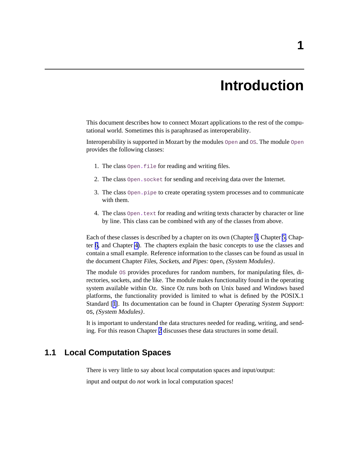# **Introduction**

<span id="page-4-0"></span>This document describes how to connect Mozart applications to the rest of the computational world. Sometimes this is paraphrased as interoperability.

Interoperability is supported in Mozart by the modules Open and OS. The module Open provides the following classes:

- 1. The class Open**.**file for reading and writing files.
- 2. The class Open**.**socket for sending and receiving data over the Internet.
- 3. The class Open**.**pipe to create operating system processes and to communicate with them.
- 4. The class Open**.**text for reading and writing texts character by character or line by line. This class can be combined with any of the classes from above.

Each of these classes is described by a chapter on its own (Chapter [3,](#page-8-0) Chapter [5,](#page-16-0) Chapter [6](#page-24-0), and Chapter [4\)](#page-14-0). The chapters explain the basic concepts to use the classes and contain a small example. Reference information to the classes can be found as usual in the document Chapter Files, Sockets, and Pipes: Open, (System Modules).

The module OS provides procedures for random numbers, for manipulating files, directories, sockets, and the like. The module makes functionality found in the operating system available within Oz. Since Oz runs both on Unix based and Windows based platforms, the functionality provided is limited to what is defined by the POSIX.1 Standard [[1](#page-26-0)]. Its documentation can be found in Chapter Operating System Support: OS, (System Modules).

It is important to understand the data structures needed for reading, writing, and sending. For this reason Chapter [2](#page-6-0) discusses these data structures in some detail.

# **1.1 Local Computation Spaces**

There is very little to say about local computation spaces and input/output:

input and output do *not* work in local computation spaces!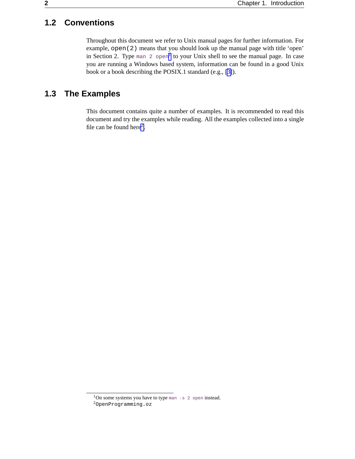# <span id="page-5-0"></span>**1.2 Conventions**

Throughout this document we refer to Unix manual pages for further information. For example, open(2) means that you should look up the manual page with title 'open' in Section 2. Type man 2  $open<sup>1</sup>$  to your Unix shell to see the manual page. In case you are running a Windows based system, information can be found in a good Unix book or a book describing the POSIX.1 standard (e.g., [[3\]](#page-26-0)).

# **1.3 The Examples**

This document contains quite a number of examples. It is recommended to read this document and try the examples while reading. All the examples collected into a single file can be found here<sup>2</sup>.

 $1$ On some systems you have to type man  $-s$  2 open instead.

<sup>2</sup>OpenProgramming.oz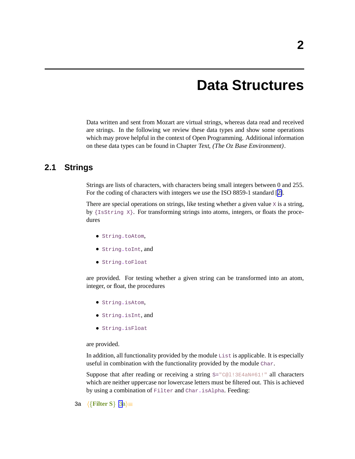# **Data Structures**

<span id="page-6-0"></span>Data written and sent from Mozart are virtual strings, whereas data read and received are strings. In the following we review these data types and show some operations which may prove helpful in the context of Open Programming. Additional information on these data types can be found in Chapter Text, (The Oz Base Environment).

### **2.1 Strings**

Strings are lists of characters, with characters being small integers between 0 and 255. For the coding of characters with integers we use the ISO 8859-1 standard [[2\]](#page-26-0).

There are special operations on strings, like testing whether a given value  $x$  is a string, by {IsString X}. For transforming strings into atoms, integers, or floats the procedures

- String**.**toAtom,
- String**.**toInt, and
- String**.**toFloat

are provided. For testing whether a given string can be transformed into an atom, integer, or float, the procedures

- String**.**isAtom,
- String**.**isInt, and
- String**.**isFloat

are provided.

In addition, all functionality provided by the module List is applicable. It is especially useful in combination with the functionality provided by the module Char.

Suppose that after reading or receiving a string  $S = "C@l : 3E4aN#61."$  all characters which are neither uppercase nor lowercase letters must be filtered out. This is achieved by using a combination of Filter and Char**.**isAlpha. Feeding:

3a  $\langle \{ \text{Filter S} \}$  3a $\rangle \equiv$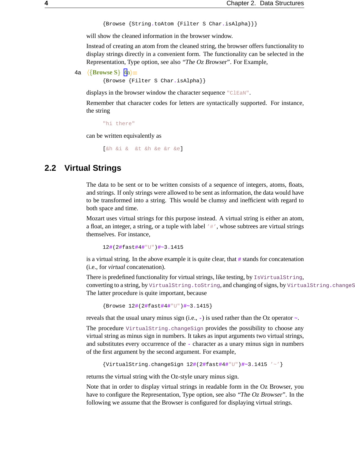```
{Browse {String.toAtom {Filter S Char.isAlpha}}}
```
<span id="page-7-0"></span>will show the cleaned information in the browser window.

Instead of creating an atom from the cleaned string, the browser offers functionality to display strings directly in a convenient form. The functionality can be selected in the Representation, Type option, see also "The Oz Browser". For Example,

```
4a \langle \{ \textbf{Browse S} \} 4a\rangle \equiv
```
{Browse {Filter S Char**.**isAlpha}}

displays in the browser window the character sequence "ClEaN".

Remember that character codes for letters are syntactically supported. For instance, the string

"hi there"

can be written equivalently as

[&h &i & &t &h &e &r &e]

## **2.2 Virtual Strings**

The data to be sent or to be written consists of a sequence of integers, atoms, floats, and strings. If only strings were allowed to be sent as information, the data would have to be transformed into a string. This would be clumsy and inefficient with regard to both space and time.

Mozart uses virtual strings for this purpose instead. A virtual string is either an atom, a float, an integer, a string, or a tuple with label  $'$   $#'$ , whose subtrees are virtual strings themselves. For instance,

12**#**(2**#**fast**#**4**#**"U")**#~**3**.**1415

is a virtual string. In the above example it is quite clear, that **#** stands for concatenation (i.e., for *virtual* concatenation).

There is predefined functionality for virtual strings, like testing, by IsVirtualString, converting to a string, by VirtualString, toString, and changing of signs, by VirtualString.changeS The latter procedure is quite important, because

```
{Browse 12#(2#fast#4#"U")#~3.1415}
```
reveals that the usual unary minus sign (i.e., **-**) is used rather than the Oz operator **~**.

The procedure VirtualString**.**changeSign provides the possibility to choose any virtual string as minus sign in numbers. It takes as input arguments two virtual strings, and substitutes every occurrence of the **-** character as a unary minus sign in numbers of the first argument by the second argument. For example,

```
{VirtualString.changeSign 12#(2#fast#4#"U")#~3.1415 '~'}
```
returns the virtual string with the Oz-style unary minus sign.

Note that in order to display virtual strings in readable form in the Oz Browser, you have to configure the Representation, Type option, see also "The Oz Browser". In the following we assume that the Browser is configured for displaying virtual strings.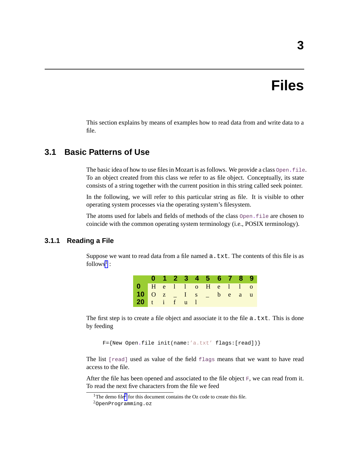# **Files**

<span id="page-8-0"></span>This section explains by means of examples how to read data from and write data to a file.

### **3.1 Basic Patterns of Use**

The basic idea of how to use filesin Mozart is asfollows. We provide a class Open**.**file. To an object created from this class we refer to as file object. Conceptually, its state consists of a string together with the current position in this string called seek pointer.

In the following, we will refer to this particular string as file. It is visible to other operating system processes via the operating system's filesystem.

The atoms used for labels and fields of methods of the class Open**.**file are chosen to coincide with the common operating system terminology (i.e., POSIX terminology).

#### **3.1.1 Reading a File**

Suppose we want to read data from a file named  $a$ .  $txtx$ , The contents of this file is as follows<sup>1</sup>:

|                        |  |  | 0 1 2 3 4 5 6 7 8 9 |  |  |
|------------------------|--|--|---------------------|--|--|
| $0$ He l l o He l l o  |  |  |                     |  |  |
| 10 0 z _ I s _ b e a u |  |  |                     |  |  |
| 20 t i f u l           |  |  |                     |  |  |

The first step is to create a file object and associate it to the file  $a$ . txt. This is done by feeding

F={New Open**.**file init(name:'a.txt' flags:[read])}

The list [read] used as value of the field flags means that we want to have read access to the file.

After the file has been opened and associated to the file object  $F$ , we can read from it. To read the next five characters from the file we feed

<sup>&</sup>lt;sup>1</sup>The demo file<sup>2</sup> for this document contains the Oz code to create this file.

<sup>2</sup>OpenProgramming.oz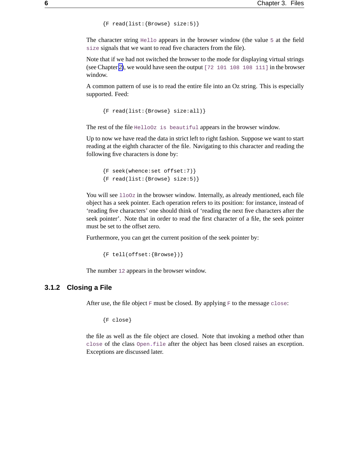```
{F read(list: {Browse} size:5)}
```
<span id="page-9-0"></span>The character string Hello appears in the browser window (the value 5 at the field size signals that we want to read five characters from the file).

Note that if we had not switched the browser to the mode for displaying virtual strings (see Chapter [2\)](#page-6-0), we would have seen the output [72 101 108 108 111] in the browser window.

A common pattern of use is to read the entire file into an Oz string. This is especially supported. Feed:

```
{F read(list:{Browse} size:all)}
```
The rest of the file HelloOz is beautiful appears in the browser window.

Up to now we have read the data in strict left to right fashion. Suppose we want to start reading at the eighth character of the file. Navigating to this character and reading the following five characters is done by:

```
{F seek(whence:set offset:7)}
{F read(list:{Browse} size:5)}
```
You will see  $1100z$  in the browser window. Internally, as already mentioned, each file object has a seek pointer. Each operation refers to its position: for instance, instead of 'reading five characters' one should think of 'reading the next five characters after the seek pointer'. Note that in order to read the first character of a file, the seek pointer must be set to the offset zero.

Furthermore, you can get the current position of the seek pointer by:

```
{F tell(offset:\{Brouse\})}
```
The number 12 appears in the browser window.

#### **3.1.2 Closing a File**

After use, the file object  $F$  must be closed. By applying  $F$  to the message close:

{F close}

the file as well as the file object are closed. Note that invoking a method other than close of the class Open**.**file after the object has been closed raises an exception. Exceptions are discussed later.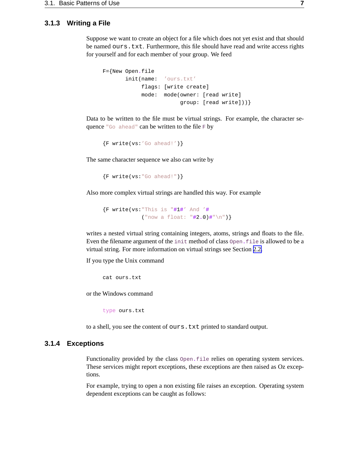#### <span id="page-10-0"></span>**3.1.3 Writing a File**

Suppose we want to create an object for a file which does not yet exist and that should be named ours.txt. Furthermore, this file should have read and write access rights for yourself and for each member of your group. We feed

```
F={New Open.file
       init(name: 'ours.txt'
            flags: [write create]
            mode: mode(owner: [read write]
                        group: [read write]))}
```
Data to be written to the file must be virtual strings. For example, the character sequence "Go ahead" can be written to the file  $F$  by

```
{F write(vs: 'Go ahead!') }
```
The same character sequence we also can write by

```
{F write(vs: "Go ahead!")}
```
Also more complex virtual strings are handled this way. For example

{F write(vs:"This is "**#**1**#**' And '**#** ("now a float: "**#**2**.**0)**#**"\n")}

writes a nested virtual string containing integers, atoms, strings and floats to the file. Even the filename argument of the init method of class Open**.**file is allowed to be a virtual string. For more information on virtual strings see Section [2.2.](#page-7-0)

If you type the Unix command

cat ours.txt

or the Windows command

type ours.txt

to a shell, you see the content of ours. txt printed to standard output.

#### **3.1.4 Exceptions**

Functionality provided by the class Open**.**file relies on operating system services. These services might report exceptions, these exceptions are then raised as Oz exceptions.

For example, trying to open a non existing file raises an exception. Operating system dependent exceptions can be caught as follows: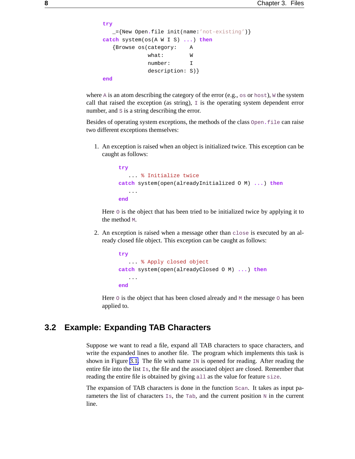```
try
  _={New Open.file init(name:'not-existing')}
catch system(os(A W I S) ...) then
  {Browse os(category: A
            what: W
            number: I
             description: S)}
end
```
where A is an atom describing the category of the error (e.g.,  $\circ$  or  $\circ$  host), W the system call that raised the exception (as string),  $\overline{I}$  is the operating system dependent error number, and  $s$  is a string describing the error.

Besides of operating system exceptions, the methods of the class Open**.**file can raise two different exceptions themselves:

1. An exception is raised when an object is initialized twice. This exception can be caught as follows:

```
try
   ... % Initialize twice
catch system(open(alreadyInitialized O M) ...) then
   ...
end
```
Here o is the object that has been tried to be initialized twice by applying it to the method M.

2. An exception is raised when a message other than close is executed by an already closed file object. This exception can be caught as follows:

```
try
   ... % Apply closed object
catch system(open(alreadyClosed O M) ...) then
   ...
end
```
Here  $\circ$  is the object that has been closed already and  $\mathbb{M}$  the message  $\circ$  has been applied to.

### **3.2 Example: Expanding TAB Characters**

Suppose we want to read a file, expand all TAB characters to space characters, and write the expanded lines to another file. The program which implements this task is shown in Figure [3.1.](#page-12-0) The file with name  $\text{IN}$  is opened for reading. After reading the entire file into the list  $I_{\text{S}}$ , the file and the associated object are closed. Remember that reading the entire file is obtained by giving all as the value for feature size.

The expansion of TAB characters is done in the function Scan. It takes as input parameters the list of characters  $\text{Is}, \text{ the } \text{Tab}, \text{ and the current position } \text{N}$  in the current line.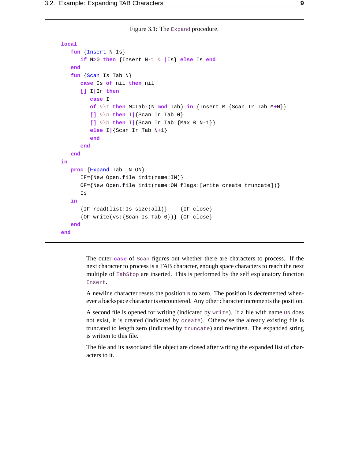Figure 3.1: The Expand procedure.

```
local
   fun {Insert N Is}
      if N>0 then {Insert N-1 & |Is} else Is end
   end
   fun {Scan Is Tab N}
      case Is of nil then nil
      [] I|Ir then
         case I
         of &\t then M=Tab-(N mod Tab) in {Insert M {Scan Ir Tab M+N}}
         [] &\n then I|{Scan Ir Tab 0}
         [] &\b then I|{Scan Ir Tab {Max 0 N-1}}
         else I|{Scan Ir Tab N+1}
         end
      end
   end
in
  proc {Expand Tab IN ON}
      IF={New Open.file init(name:IN)}
      OF={New Open.file init(name:ON flags:[write create truncate])}
      Is
   in
      {IF read(list:Is size:all)} {IF close}
      {OF write}(vs:{Scan Is Tab 0}) { } {CF close}end
end
```
The outer **case** of Scan figures out whether there are characters to process. If the next character to process is a TAB character, enough space characters to reach the next multiple of TabStop are inserted. This is performed by the self explanatory function Insert.

A newline character resets the position  $N$  to zero. The position is decremented whenever a backspace character is encountered. Any other character increments the position.

A second file is opened for writing (indicated by write). If a file with name ON does not exist, it is created (indicated by create). Otherwise the already existing file is truncated to length zero (indicated by truncate) and rewritten. The expanded string is written to this file.

The file and its associated file object are closed after writing the expanded list of characters to it.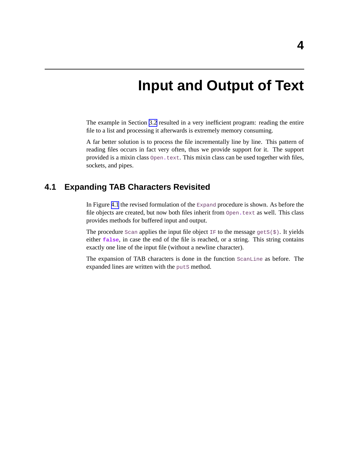# **Input and Output of Text**

<span id="page-14-0"></span>The example in Section [3.2](#page-11-0) resulted in a very inefficient program: reading the entire file to a list and processing it afterwards is extremely memory consuming.

A far better solution is to process the file incrementally line by line. This pattern of reading files occurs in fact very often, thus we provide support for it. The support provided is a mixin class Open**.**text. This mixin class can be used together with files, sockets, and pipes.

### **4.1 Expanding TAB Characters Revisited**

In Figure [4.1](#page-15-0) the revised formulation of the  $\text{Expand procedure}$  is shown. As before the file objects are created, but now both files inherit from Open**.**text as well. This class provides methods for buffered input and output.

The procedure  $Scan$  applies the input file object IF to the message  $gets(\xi)$ . It yields either **false**, in case the end of the file is reached, or a string. This string contains exactly one line of the input file (without a newline character).

The expansion of TAB characters is done in the function ScanLine as before. The expanded lines are written with the puts method.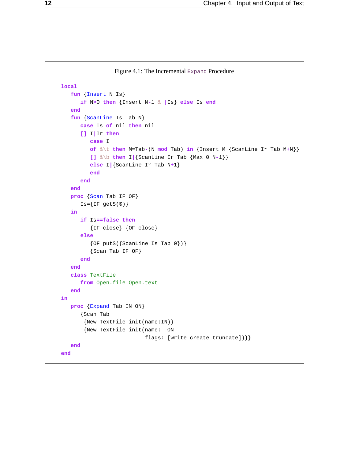Figure 4.1: The Incremental Expand Procedure

```
local
   fun {Insert N Is}
      if N>0 then {Insert N-1 & |Is} else Is end
   end
   fun {ScanLine Is Tab N}
      case Is of nil then nil
      [] I|Ir then
         case I
         of &\t then M=Tab-(N mod Tab) in {Insert M {ScanLine Ir Tab M+N}}
         [] &\b then I|{ScanLine Ir Tab {Max 0 N-1}}
         else I|{ScanLine Ir Tab N+1}
         end
      end
   end
   proc {Scan Tab IF OF}
      Is = \{IF getS(\$)\}in
      if Is==false then
         {IF close} {OF close}
      else
         {OF puts({ScanLine Is Tab 0})}{Scan Tab IF OF}
      end
   end
   class TextFile
      from Open.file Open.text
   end
in
   proc {Expand Tab IN ON}
      {Scan Tab
       {New TextFile init(name:IN)}
       {New TextFile init(name: ON
                          flags: [write create truncate])}}
   end
end
```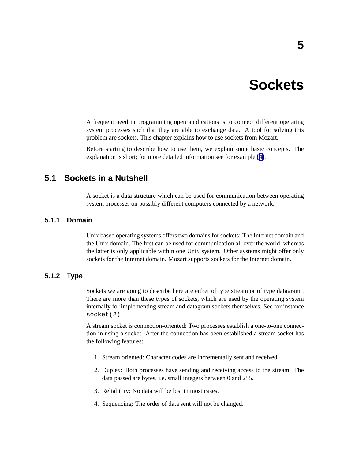# **Sockets**

<span id="page-16-0"></span>A frequent need in programming open applications is to connect different operating system processes such that they are able to exchange data. A tool for solving this problem are sockets. This chapter explains how to use sockets from Mozart.

Before starting to describe how to use them, we explain some basic concepts. The explanation is short; for more detailed information see for example [\[4\]](#page-26-0).

## **5.1 Sockets in a Nutshell**

A socket is a data structure which can be used for communication between operating system processes on possibly different computers connected by a network.

#### **5.1.1 Domain**

Unix based operating systems offers two domains for sockets: The Internet domain and the Unix domain. The first can be used for communication all over the world, whereas the latter is only applicable within one Unix system. Other systems might offer only sockets for the Internet domain. Mozart supports sockets for the Internet domain.

#### **5.1.2 Type**

Sockets we are going to describe here are either of type stream or of type datagram . There are more than these types of sockets, which are used by the operating system internally for implementing stream and datagram sockets themselves. See for instance socket(2).

A stream socket is connection-oriented: Two processes establish a one-to-one connection in using a socket. After the connection has been established a stream socket has the following features:

- 1. Stream oriented: Character codes are incrementally sent and received.
- 2. Duplex: Both processes have sending and receiving access to the stream. The data passed are bytes, i.e. small integers between 0 and 255.
- 3. Reliability: No data will be lost in most cases.
- 4. Sequencing: The order of data sent will not be changed.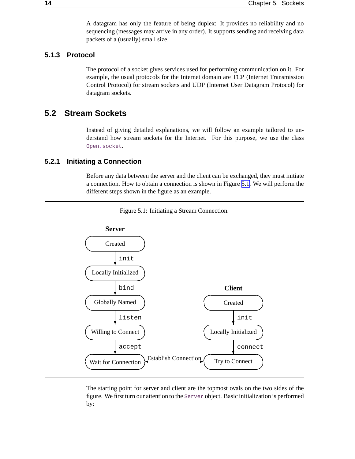A datagram has only the feature of being duplex: It provides no reliability and no sequencing (messages may arrive in any order). It supports sending and receiving data packets of a (usually) small size.

#### <span id="page-17-0"></span>**5.1.3 Protocol**

The protocol of a socket gives services used for performing communication on it. For example, the usual protocols for the Internet domain are TCP (Internet Transmission Control Protocol) for stream sockets and UDP (Internet User Datagram Protocol) for datagram sockets.

### **5.2 Stream Sockets**

Instead of giving detailed explanations, we will follow an example tailored to understand how stream sockets for the Internet. For this purpose, we use the class Open**.**socket.

#### **5.2.1 Initiating a Connection**

Before any data between the server and the client can be exchanged, they must initiate a connection. How to obtain a connection is shown in Figure 5.1. We will perform the different steps shown in the figure as an example.





The starting point for server and client are the topmost ovals on the two sides of the figure. We first turn our attention to the Server object. Basic initialization is performed by: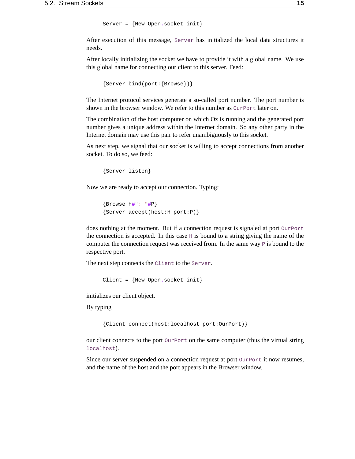```
Server = {New Open.socket init}
```
<span id="page-18-0"></span>After execution of this message, Server has initialized the local data structures it needs.

After locally initializing the socket we have to provide it with a global name. We use this global name for connecting our client to this server. Feed:

```
{Server bind(port:{Browse})}
```
The Internet protocol services generate a so-called port number. The port number is shown in the browser window. We refer to this number as  $Our$ Port later on.

The combination of the host computer on which Oz is running and the generated port number gives a unique address within the Internet domain. So any other party in the Internet domain may use this pair to refer unambiguously to this socket.

As next step, we signal that our socket is willing to accept connections from another socket. To do so, we feed:

```
{Server listen}
```
Now we are ready to accept our connection. Typing:

```
{Browse H#": "#P}
{Server accept(host:H port:P)}
```
does nothing at the moment. But if a connection request is signaled at port  $Our$  Port the connection is accepted. In this case  $H$  is bound to a string giving the name of the computer the connection request was received from. In the same way  $P$  is bound to the respective port.

The next step connects the Client to the Server.

Client = {New Open**.**socket init}

initializes our client object.

By typing

```
{Client connect(host:localhost port:OurPort)}
```
our client connects to the port  $\text{OurPort}$  on the same computer (thus the virtual string localhost).

Since our server suspended on a connection request at port  $\text{OurPort}$  it now resumes, and the name of the host and the port appears in the Browser window.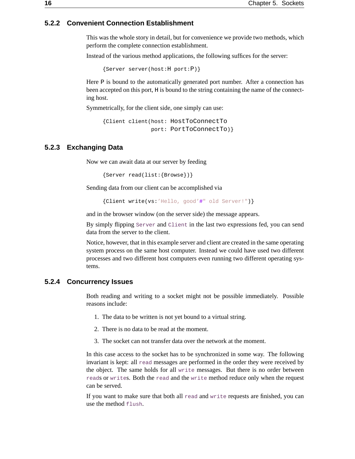#### <span id="page-19-0"></span>**5.2.2 Convenient Connection Establishment**

This was the whole story in detail, but for convenience we provide two methods, which perform the complete connection establishment.

Instead of the various method applications, the following suffices for the server:

{Server server(host:H port:P)}

Here  $P$  is bound to the automatically generated port number. After a connection has been accepted on this port, H is bound to the string containing the name of the connecting host.

Symmetrically, for the client side, one simply can use:

{Client client(host: HostToConnectTo port: PortToConnectTo) }

#### **5.2.3 Exchanging Data**

Now we can await data at our server by feeding

{Server read(list:{Browse})}

Sending data from our client can be accomplished via

{Client write(vs:'Hello, good'**#**" old Server!")}

and in the browser window (on the server side) the message appears.

By simply flipping Server and Client in the last two expressions fed, you can send data from the server to the client.

Notice, however, that in this example server and client are created in the same operating system process on the same host computer. Instead we could have used two different processes and two different host computers even running two different operating systems.

#### **5.2.4 Concurrency Issues**

Both reading and writing to a socket might not be possible immediately. Possible reasons include:

- 1. The data to be written is not yet bound to a virtual string.
- 2. There is no data to be read at the moment.
- 3. The socket can not transfer data over the network at the moment.

In this case access to the socket has to be synchronized in some way. The following invariant is kept: all read messages are performed in the order they were received by the object. The same holds for all write messages. But there is no order between reads or writes. Both the read and the write method reduce only when the request can be served.

If you want to make sure that both all  $r = d$  and  $w$ rite requests are finished, you can use the method flush.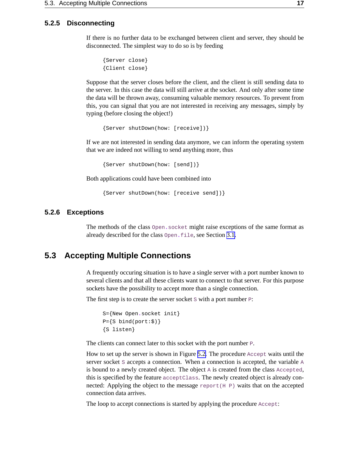#### <span id="page-20-0"></span>**5.2.5 Disconnecting**

If there is no further data to be exchanged between client and server, they should be disconnected. The simplest way to do so is by feeding

```
{Server close}
{Client close}
```
Suppose that the server closes before the client, and the client is still sending data to the server. In this case the data will still arrive at the socket. And only after some time the data will be thrown away, consuming valuable memory resources. To prevent from this, you can signal that you are not interested in receiving any messages, simply by typing (before closing the object!)

{Server shutDown(how: [receive])}

If we are not interested in sending data anymore, we can inform the operating system that we are indeed not willing to send anything more, thus

{Server shutDown(how: [send])}

Both applications could have been combined into

{Server shutDown(how: [receive send])}

#### **5.2.6 Exceptions**

The methods of the class Open**.**socket might raise exceptions of the same format as already described for the class Open**.**file, see Section [3.1.](#page-8-0)

### **5.3 Accepting Multiple Connections**

A frequently occuring situation is to have a single server with a port number known to several clients and that all these clients want to connect to that server. For this purpose sockets have the possibility to accept more than a single connection.

The first step is to create the server socket  $S$  with a port number  $P$ :

```
S={New Open.socket init}
P = \{S \; bind(port: \$)\}{S listen}
```
The clients can connect later to this socket with the port number P.

How to set up the server is shown in Figure [5.2.](#page-21-0) The procedure Accept waits until the server socket  $S$  accepts a connection. When a connection is accepted, the variable  $A$ is bound to a newly created object. The object  $A$  is created from the class  $Accepted$ , this is specified by the feature acceptClass. The newly created object is already connected: Applying the object to the message  $\text{report}(H \text{ P})$  waits that on the accepted connection data arrives.

The loop to accept connections is started by applying the procedure Accept: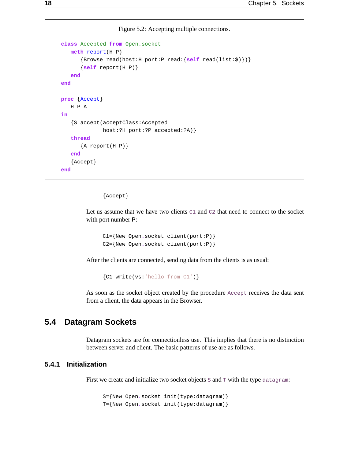Figure 5.2: Accepting multiple connections.

```
class Accepted from Open.socket
  meth report(H P)
      {Browse read(host:H port:P read:{self read(list:$)})}
      {self report(H P)}
   end
end
proc {Accept}
   H P A
in
   {S accept(acceptClass:Accepted
             host:?H port:?P accepted:?A)}
   thread
      {A report(H P) }
   end
   {Accept}
end
```
{Accept}

Let us assume that we have two clients  $C1$  and  $C2$  that need to connect to the socket with port number P:

```
C1={New Open.socket client(port:P)}
C2={New Open.socket client(port:P)}
```
After the clients are connected, sending data from the clients is as usual:

{C1 write(vs:'hello from C1')}

As soon as the socket object created by the procedure Accept receives the data sent from a client, the data appears in the Browser.

## **5.4 Datagram Sockets**

Datagram sockets are for connectionless use. This implies that there is no distinction between server and client. The basic patterns of use are as follows.

#### **5.4.1 Initialization**

First we create and initialize two socket objects s and  $\tau$  with the type datagram:

S={New Open**.**socket init(type:datagram)} T={New Open**.**socket init(type:datagram)}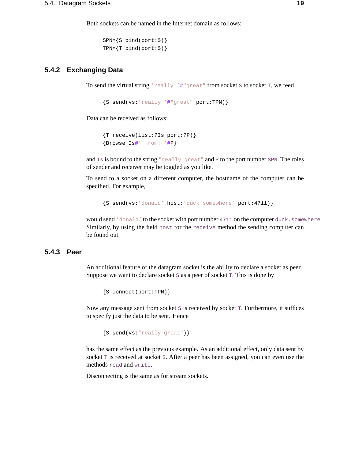Both sockets can be named in the Internet domain as follows:

```
SPN={S bind(port:$)}
TPN=\{T \; bind(port:\xi)\}\
```
#### <span id="page-22-0"></span>**5.4.2 Exchanging Data**

To send the virtual string 'really '#"great" from socket S to socket T, we feed

```
{S send(vs:'really '#"great" port:TPN)}
```
Data can be received as follows:

```
{T receive(list:?Is port:?P)}
{Browse Is#' from: '#P}
```
and  $I_s$  is bound to the string "really great" and P to the port number SPN. The roles of sender and receiver may be toggled as you like.

To send to a socket on a different computer, the hostname of the computer can be specified. For example,

{S send(vs:'donald' host:'duck.somewhere' port:4711)}

would send 'donald' to the socket with port number 4711 on the computer duck**.**somewhere. Similarly, by using the field host for the receive method the sending computer can be found out.

#### **5.4.3 Peer**

An additional feature of the datagram socket is the ability to declare a socket as peer . Suppose we want to declare socket  $S$  as a peer of socket  $T$ . This is done by

{S connect(port:TPN)}

Now any message sent from socket s is received by socket  $T$ . Furthermore, it suffices to specify just the data to be sent. Hence

{S send(vs:"really great")}

has the same effect as the previous example. As an additional effect, only data sent by socket  $T$  is received at socket  $S$ . After a peer has been assigned, you can even use the methods read and write.

Disconnecting is the same as for stream sockets.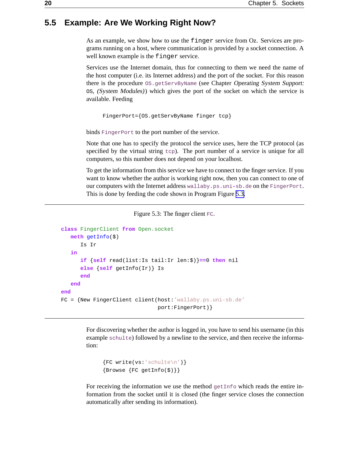# <span id="page-23-0"></span>**5.5 Example: Are We Working Right Now?**

As an example, we show how to use the finger service from Oz. Services are programs running on a host, where communication is provided by a socket connection. A well known example is the finger service.

Services use the Internet domain, thus for connecting to them we need the name of the host computer (i.e. its Internet address) and the port of the socket. For this reason there is the procedure  $OS$ <sub>agetServByName</sub> (see Chapter Operating System Support: OS, (System Modules)) which gives the port of the socket on which the service is available. Feeding

```
FingerPort={OS.getServByName finger tcp}
```
binds FingerPort to the port number of the service.

Note that one has to specify the protocol the service uses, here the TCP protocol (as specified by the virtual string  $t_{\text{cp}}$ . The port number of a service is unique for all computers, so this number does not depend on your localhost.

To get the information from this service we have to connect to the finger service. If you want to know whether the author is working right now, then you can connect to one of our computers with the Internet address wallaby**.**ps**.**uni**-**sb**.**de on the FingerPort. This is done by feeding the code shown in Program Figure 5.3.

```
Figure 5.3: The finger client FC.
```

```
class FingerClient from Open.socket
  meth getInfo($)
      Is Ir
   in
      if {self read(list:Is tail:Ir len:$)}==0 then nil
      else {self getInfo(Ir)} Is
      end
   end
end
FC = {New FingerClient client(host:'wallaby.ps.uni-sb.de'
                               port:FingerPort)}
```
For discovering whether the author is logged in, you have to send his username (in this example schulte) followed by a newline to the service, and then receive the information:

```
{FC write(vs: 'schulte\n'} )\{Brows\ \{FC getInfo(\$)\}\}
```
For receiving the information we use the method  $g$ etInfo which reads the entire information from the socket until it is closed (the finger service closes the connection automatically after sending its information).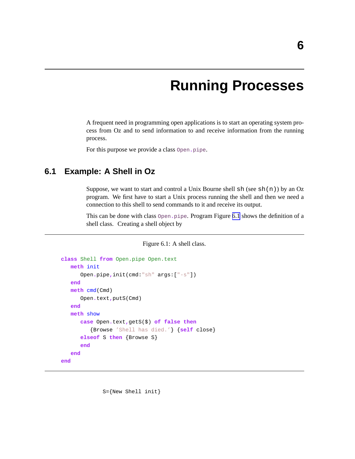# **Running Processes**

<span id="page-24-0"></span>A frequent need in programming open applications is to start an operating system process from Oz and to send information to and receive information from the running process.

For this purpose we provide a class Open**.**pipe.

# **6.1 Example: A Shell in Oz**

Suppose, we want to start and control a Unix Bourne shell  $\text{sh}(\text{see } \text{sh}(n))$  by an Oz program. We first have to start a Unix process running the shell and then we need a connection to this shell to send commands to it and receive its output.

This can be done with class Open**.**pipe. Program Figure 6.1 shows the definition of a shell class. Creating a shell object by

Figure 6.1: A shell class.

```
class Shell from Open.pipe Open.text
  meth init
      Open.pipe,init(cmd:"sh" args:["-s"])
   end
  meth cmd(Cmd)
      Open.text,putS(Cmd)
   end
  meth show
      case Open.text,getS($) of false then
         {Browse 'Shell has died.'} {self close}
      elseof S then {Browse S}
      end
   end
end
```
S={New Shell init}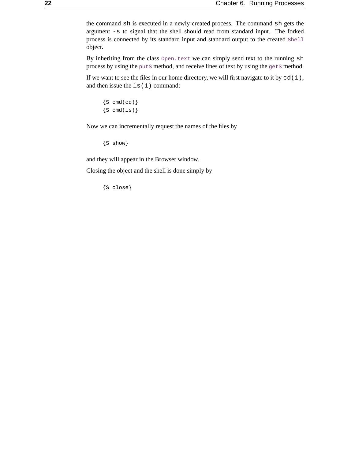<span id="page-25-0"></span>the command sh is executed in a newly created process. The command sh gets the argument -s to signal that the shell should read from standard input. The forked process is connected by its standard input and standard output to the created Shell object.

By inheriting from the class Open**.**text we can simply send text to the running sh process by using the puts method, and receive lines of text by using the gets method.

If we want to see the files in our home directory, we will first navigate to it by  $cd(1)$ , and then issue the ls(1) command:

```
{S \text{cmd}(cd)}\{S \text{cmd}(ls)\}
```
Now we can incrementally request the names of the files by

{S show}

and they will appear in the Browser window.

Closing the object and the shell is done simply by

{S close}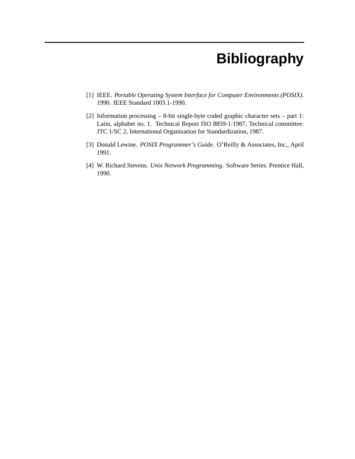# **Bibliography**

- <span id="page-26-0"></span>[1] IEEE. *Portable Operating System Interface for Computer Environments (POSIX)*. 1990. IEEE Standard 1003.1-1990.
- [2] Information processing 8-bit single-byte coded graphic character sets part 1: Latin, alphabet no. 1. Technical Report ISO 8859-1:1987, Technical committee: JTC 1/SC 2, International Organization for Standardization, 1987.
- [3] Donald Lewine. *POSIX Programmer's Guide*. O'Reilly & Associates, Inc., April 1991.
- [4] W. Richard Stevens. *Unix Network Programming*. Software Series. Prentice Hall, 1990.